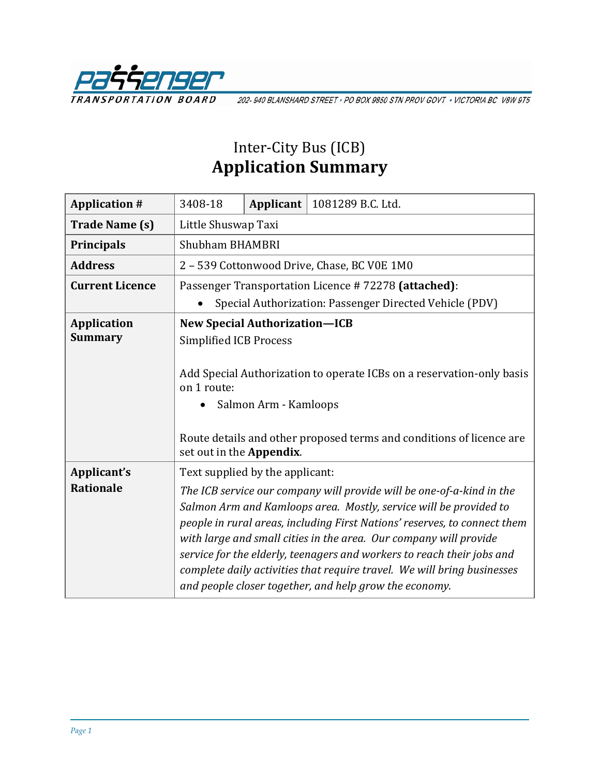

202-940 BLANSHARD STREET · PO BOX 9850 STN PROV GOVT · VICTORIA BC V8W 9T5

## Inter-City Bus (ICB) **Application Summary**

| <b>Application #</b>            | 3408-18                                             | Applicant             | 1081289 B.C. Ltd.                                                                                                                                                                                                                                                                                                                                                                                                                                                                                           |
|---------------------------------|-----------------------------------------------------|-----------------------|-------------------------------------------------------------------------------------------------------------------------------------------------------------------------------------------------------------------------------------------------------------------------------------------------------------------------------------------------------------------------------------------------------------------------------------------------------------------------------------------------------------|
| <b>Trade Name (s)</b>           | Little Shuswap Taxi                                 |                       |                                                                                                                                                                                                                                                                                                                                                                                                                                                                                                             |
| Principals                      | <b>Shubham BHAMBRI</b>                              |                       |                                                                                                                                                                                                                                                                                                                                                                                                                                                                                                             |
| <b>Address</b>                  | 2 - 539 Cottonwood Drive, Chase, BC V0E 1M0         |                       |                                                                                                                                                                                                                                                                                                                                                                                                                                                                                                             |
| <b>Current Licence</b>          | Passenger Transportation Licence #72278 (attached): |                       |                                                                                                                                                                                                                                                                                                                                                                                                                                                                                                             |
|                                 |                                                     |                       | Special Authorization: Passenger Directed Vehicle (PDV)                                                                                                                                                                                                                                                                                                                                                                                                                                                     |
| <b>Application</b>              | <b>New Special Authorization-ICB</b>                |                       |                                                                                                                                                                                                                                                                                                                                                                                                                                                                                                             |
| <b>Summary</b>                  | <b>Simplified ICB Process</b>                       |                       |                                                                                                                                                                                                                                                                                                                                                                                                                                                                                                             |
|                                 | on 1 route:<br>set out in the Appendix.             | Salmon Arm - Kamloops | Add Special Authorization to operate ICBs on a reservation-only basis<br>Route details and other proposed terms and conditions of licence are                                                                                                                                                                                                                                                                                                                                                               |
| Applicant's<br><b>Rationale</b> | Text supplied by the applicant:                     |                       | The ICB service our company will provide will be one-of-a-kind in the<br>Salmon Arm and Kamloops area. Mostly, service will be provided to<br>people in rural areas, including First Nations' reserves, to connect them<br>with large and small cities in the area. Our company will provide<br>service for the elderly, teenagers and workers to reach their jobs and<br>complete daily activities that require travel. We will bring businesses<br>and people closer together, and help grow the economy. |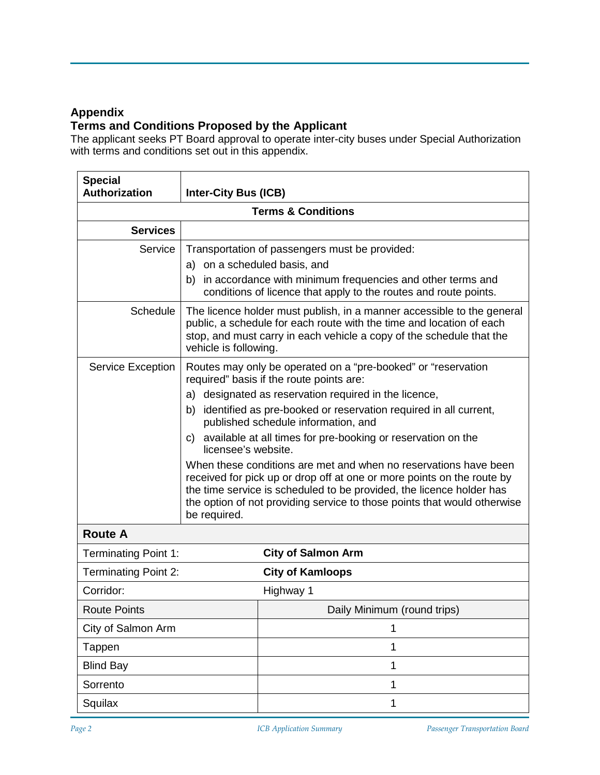### **Appendix**

### **Terms and Conditions Proposed by the Applicant**

The applicant seeks PT Board approval to operate inter-city buses under Special Authorization with terms and conditions set out in this appendix.

| <b>Special</b><br>Authorization | <b>Inter-City Bus (ICB)</b>                                                                                                                                                                                                                     |                                                                                                                                                                                                                                                                                                                                                                                                                                                                                                                                                                                                                                                    |  |  |
|---------------------------------|-------------------------------------------------------------------------------------------------------------------------------------------------------------------------------------------------------------------------------------------------|----------------------------------------------------------------------------------------------------------------------------------------------------------------------------------------------------------------------------------------------------------------------------------------------------------------------------------------------------------------------------------------------------------------------------------------------------------------------------------------------------------------------------------------------------------------------------------------------------------------------------------------------------|--|--|
| <b>Terms &amp; Conditions</b>   |                                                                                                                                                                                                                                                 |                                                                                                                                                                                                                                                                                                                                                                                                                                                                                                                                                                                                                                                    |  |  |
| <b>Services</b>                 |                                                                                                                                                                                                                                                 |                                                                                                                                                                                                                                                                                                                                                                                                                                                                                                                                                                                                                                                    |  |  |
| Service                         | a) on a scheduled basis, and                                                                                                                                                                                                                    | Transportation of passengers must be provided:<br>b) in accordance with minimum frequencies and other terms and<br>conditions of licence that apply to the routes and route points.                                                                                                                                                                                                                                                                                                                                                                                                                                                                |  |  |
| <b>Schedule</b>                 | The licence holder must publish, in a manner accessible to the general<br>public, a schedule for each route with the time and location of each<br>stop, and must carry in each vehicle a copy of the schedule that the<br>vehicle is following. |                                                                                                                                                                                                                                                                                                                                                                                                                                                                                                                                                                                                                                                    |  |  |
| Service Exception               | C)<br>licensee's website.<br>be required.                                                                                                                                                                                                       | Routes may only be operated on a "pre-booked" or "reservation<br>required" basis if the route points are:<br>a) designated as reservation required in the licence,<br>b) identified as pre-booked or reservation required in all current,<br>published schedule information, and<br>available at all times for pre-booking or reservation on the<br>When these conditions are met and when no reservations have been<br>received for pick up or drop off at one or more points on the route by<br>the time service is scheduled to be provided, the licence holder has<br>the option of not providing service to those points that would otherwise |  |  |
| <b>Route A</b>                  |                                                                                                                                                                                                                                                 |                                                                                                                                                                                                                                                                                                                                                                                                                                                                                                                                                                                                                                                    |  |  |
| <b>Terminating Point 1:</b>     |                                                                                                                                                                                                                                                 | <b>City of Salmon Arm</b>                                                                                                                                                                                                                                                                                                                                                                                                                                                                                                                                                                                                                          |  |  |
| <b>Terminating Point 2:</b>     |                                                                                                                                                                                                                                                 | <b>City of Kamloops</b>                                                                                                                                                                                                                                                                                                                                                                                                                                                                                                                                                                                                                            |  |  |
| Corridor:                       |                                                                                                                                                                                                                                                 | Highway 1                                                                                                                                                                                                                                                                                                                                                                                                                                                                                                                                                                                                                                          |  |  |
| <b>Route Points</b>             |                                                                                                                                                                                                                                                 | Daily Minimum (round trips)                                                                                                                                                                                                                                                                                                                                                                                                                                                                                                                                                                                                                        |  |  |
| City of Salmon Arm              |                                                                                                                                                                                                                                                 | 1                                                                                                                                                                                                                                                                                                                                                                                                                                                                                                                                                                                                                                                  |  |  |
| Tappen                          |                                                                                                                                                                                                                                                 | 1                                                                                                                                                                                                                                                                                                                                                                                                                                                                                                                                                                                                                                                  |  |  |
| <b>Blind Bay</b>                |                                                                                                                                                                                                                                                 | 1                                                                                                                                                                                                                                                                                                                                                                                                                                                                                                                                                                                                                                                  |  |  |
| Sorrento                        |                                                                                                                                                                                                                                                 | 1                                                                                                                                                                                                                                                                                                                                                                                                                                                                                                                                                                                                                                                  |  |  |
| Squilax                         |                                                                                                                                                                                                                                                 | 1                                                                                                                                                                                                                                                                                                                                                                                                                                                                                                                                                                                                                                                  |  |  |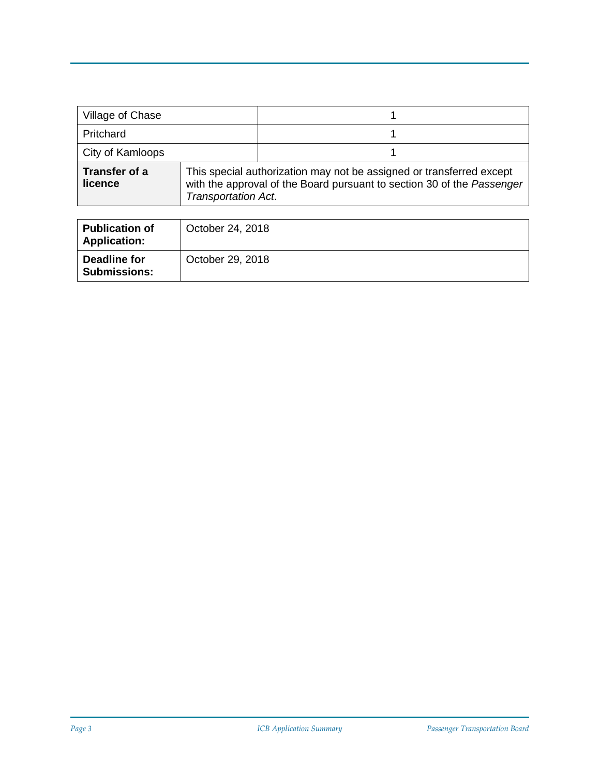| Village of Chase                |                            |                                                                                                                                                |
|---------------------------------|----------------------------|------------------------------------------------------------------------------------------------------------------------------------------------|
| Pritchard                       |                            |                                                                                                                                                |
| City of Kamloops                |                            |                                                                                                                                                |
| <b>Transfer of a</b><br>licence | <b>Transportation Act.</b> | This special authorization may not be assigned or transferred except<br>with the approval of the Board pursuant to section 30 of the Passenger |

| <b>Publication of</b><br><b>Application:</b> | October 24, 2018 |
|----------------------------------------------|------------------|
| Deadline for<br><b>Submissions:</b>          | October 29, 2018 |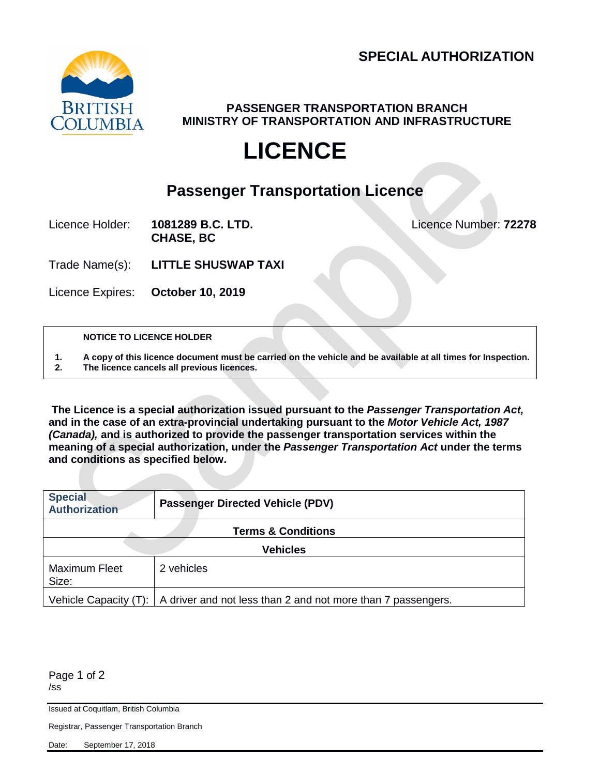

**PASSENGER TRANSPORTATION BRANCH MINISTRY OF TRANSPORTATION AND INFRASTRUCTURE**

# **LICENCE**

### **Passenger Transportation Licence**

Licence Holder: **1081289 B.C. LTD.** Licence Number: **72278 CHASE, BC**

Trade Name(s): **LITTLE SHUSWAP TAXI**

Licence Expires: **October 10, 2019**

**NOTICE TO LICENCE HOLDER**

**1. A copy of this licence document must be carried on the vehicle and be available at all times for Inspection. 2. The licence cancels all previous licences.**

**The Licence is a special authorization issued pursuant to the** *Passenger Transportation Act,*  **and in the case of an extra-provincial undertaking pursuant to the** *Motor Vehicle Act, 1987 (Canada),* **and is authorized to provide the passenger transportation services within the meaning of a special authorization, under the** *Passenger Transportation Act* **under the terms and conditions as specified below.**

| <b>Special</b><br><b>Authorization</b> | <b>Passenger Directed Vehicle (PDV)</b>                                                 |  |
|----------------------------------------|-----------------------------------------------------------------------------------------|--|
|                                        | <b>Terms &amp; Conditions</b>                                                           |  |
| <b>Vehicles</b>                        |                                                                                         |  |
| <b>Maximum Fleet</b><br>Size:          | 2 vehicles                                                                              |  |
|                                        | Vehicle Capacity $(T)$ :   A driver and not less than 2 and not more than 7 passengers. |  |

Page 1 of 2 /ss

Issued at Coquitlam, British Columbia

Registrar, Passenger Transportation Branch